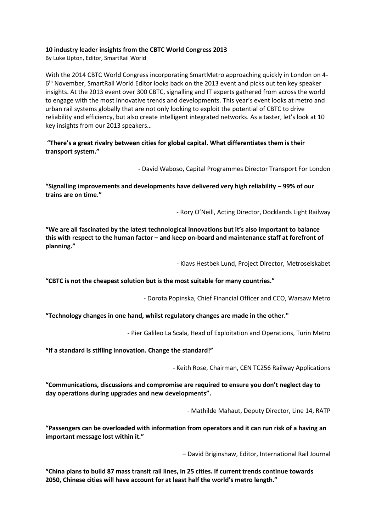## **10 industry leader [insights from the CBTC World Congress 2013](http://www.smartrailworld.com/blog/2013/11/06/10-speaker-insights-from-the-cbtc-world-congress-2013)**

By Luke Upton, Editor, SmartRail World

With the 2014 CBTC World Congress incorporating SmartMetro approaching quickly in London on 4- 6<sup>th</sup> November, SmartRail World Editor looks back on the 2013 event and picks out ten key speaker insights. At the 2013 event over 300 CBTC, signalling and IT experts gathered from across the world to engage with the most innovative trends and developments. This year's event looks at metro and urban rail systems globally that are not only looking to exploit the potential of CBTC to drive reliability and efficiency, but also create intelligent integrated networks. As a taster, let's look at 10 key insights from our 2013 speakers…

## **"There's a great rivalry between cities for global capital. What differentiates them is their transport system."**

- David Waboso, Capital Programmes Director Transport For London

**"Signalling improvements and developments have delivered very high reliability – 99% of our trains are on time."**

- Rory O'Neill, Acting Director, Docklands Light Railway

**"We are all fascinated by the latest technological innovations but it's also important to balance this with respect to the human factor – and keep on-board and maintenance staff at forefront of planning."**

- Klavs Hestbek Lund, Project Director, Metroselskabet

**"CBTC is not the cheapest solution but is the most suitable for many countries."**

- Dorota Popinska, Chief Financial Officer and CCO, Warsaw Metro

## **"Technology changes in one hand, whilst regulatory changes are made in the other."**

- Pier Galileo La Scala, Head of Exploitation and Operations, Turin Metro

**"If a standard is stifling innovation. Change the standard!"**

- Keith Rose, Chairman, CEN TC256 Railway Applications

**"Communications, discussions and compromise are required to ensure you don't neglect day to day operations during upgrades and new developments".** 

- Mathilde Mahaut, Deputy Director, Line 14, RATP

**"Passengers can be overloaded with information from operators and it can run risk of a having an important message lost within it."**

– David Briginshaw, Editor, International Rail Journal

**"China plans to build 87 mass transit rail lines, in 25 cities. If current trends continue towards 2050, Chinese cities will have account for at least half the world's metro length."**